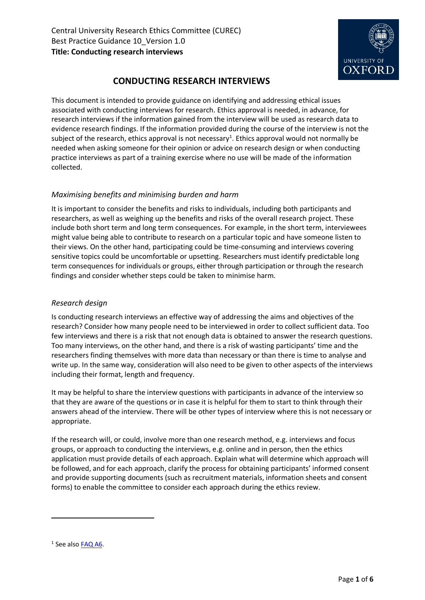

# **CONDUCTING RESEARCH INTERVIEWS**

This document is intended to provide guidance on identifying and addressing ethical issues associated with conducting interviews for research. Ethics approval is needed, in advance, for research interviews if the information gained from the interview will be used as research data to evidence research findings. If the information provided during the course of the interview is not the subject of the research, ethics approval is not necessary<sup>1</sup>. Ethics approval would not normally be needed when asking someone for their opinion or advice on research design or when conducting practice interviews as part of a training exercise where no use will be made of the information collected.

# *Maximising benefits and minimising burden and harm*

It is important to consider the benefits and risks to individuals, including both participants and researchers, as well as weighing up the benefits and risks of the overall research project. These include both short term and long term consequences. For example, in the short term, interviewees might value being able to contribute to research on a particular topic and have someone listen to their views. On the other hand, participating could be time-consuming and interviews covering sensitive topics could be uncomfortable or upsetting. Researchers must identify predictable long term consequences for individuals or groups, either through participation or through the research findings and consider whether steps could be taken to minimise harm.

### *Research design*

Is conducting research interviews an effective way of addressing the aims and objectives of the research? Consider how many people need to be interviewed in order to collect sufficient data. Too few interviews and there is a risk that not enough data is obtained to answer the research questions. Too many interviews, on the other hand, and there is a risk of wasting participants' time and the researchers finding themselves with more data than necessary or than there is time to analyse and write up. In the same way, consideration will also need to be given to other aspects of the interviews including their format, length and frequency.

It may be helpful to share the interview questions with participants in advance of the interview so that they are aware of the questions or in case it is helpful for them to start to think through their answers ahead of the interview. There will be other types of interview where this is not necessary or appropriate.

If the research will, or could, involve more than one research method, e.g. interviews and focus groups, or approach to conducting the interviews, e.g. online and in person, then the ethics application must provide details of each approach. Explain what will determine which approach will be followed, and for each approach, clarify the process for obtaining participants' informed consent and provide supporting documents (such as recruitment materials, information sheets and consent forms) to enable the committee to consider each approach during the ethics review.

**.** 

<sup>&</sup>lt;sup>1</sup> See also [FAQ A6.](https://researchsupport.admin.ox.ac.uk/governance/ethics/faqs-glossary/faqs#collapse410611)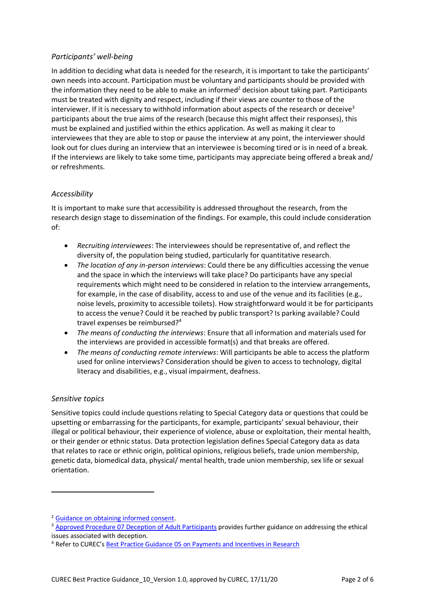# *Participants' well-being*

In addition to deciding what data is needed for the research, it is important to take the participants' own needs into account. Participation must be voluntary and participants should be provided with the information they need to be able to make an informed<sup>2</sup> decision about taking part. Participants must be treated with dignity and respect, including if their views are counter to those of the interviewer. If it is necessary to withhold information about aspects of the research or deceive<sup>3</sup> participants about the true aims of the research (because this might affect their responses), this must be explained and justified within the ethics application. As well as making it clear to interviewees that they are able to stop or pause the interview at any point, the interviewer should look out for clues during an interview that an interviewee is becoming tired or is in need of a break. If the interviews are likely to take some time, participants may appreciate being offered a break and/ or refreshments.

#### *Accessibility*

It is important to make sure that accessibility is addressed throughout the research, from the research design stage to dissemination of the findings. For example, this could include consideration of:

- *Recruiting interviewees*: The interviewees should be representative of, and reflect the diversity of, the population being studied, particularly for quantitative research.
- *The location of any in-person interviews*: Could there be any difficulties accessing the venue and the space in which the interviews will take place? Do participants have any special requirements which might need to be considered in relation to the interview arrangements, for example, in the case of disability, access to and use of the venue and its facilities (e.g., noise levels, proximity to accessible toilets). How straightforward would it be for participants to access the venue? Could it be reached by public transport? Is parking available? Could travel expenses be reimbursed?<sup>4</sup>
- *The means of conducting the interviews*: Ensure that all information and materials used for the interviews are provided in accessible format(s) and that breaks are offered.
- *The means of conducting remote interviews*: Will participants be able to access the platform used for online interviews? Consideration should be given to access to technology, digital literacy and disabilities, e.g., visual impairment, deafness.

#### *Sensitive topics*

**.** 

Sensitive topics could include questions relating to Special Category data or questions that could be upsetting or embarrassing for the participants, for example, participants' sexual behaviour, their illegal or political behaviour, their experience of violence, abuse or exploitation, their mental health, or their gender or ethnic status. Data protection legislation defines Special Category data as data that relates to race or ethnic origin, political opinions, religious beliefs, trade union membership, genetic data, biomedical data, physical/ mental health, trade union membership, sex life or sexual orientation.

<sup>2</sup> [Guidance on obtaining informed consent.](https://researchsupport.admin.ox.ac.uk/governance/ethics/resources/consent)

<sup>3</sup> [Approved Procedure 07 Deception of Adult Participants](https://researchsupport.admin.ox.ac.uk/governance/ethics/resources/ap#collapse397216) provides further guidance on addressing the ethical issues associated with deception.

<sup>4</sup> Refer to CUREC's Best Practice Guidance 05 on [Payments and Incentives in Research](https://researchsupport.admin.ox.ac.uk/governance/ethics/resources/bpg)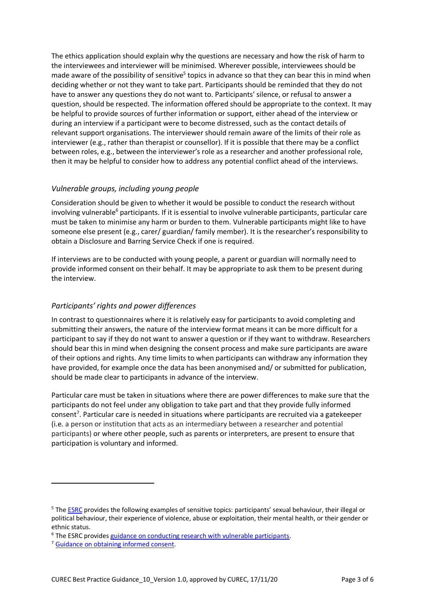The ethics application should explain why the questions are necessary and how the risk of harm to the interviewees and interviewer will be minimised. Wherever possible, interviewees should be made aware of the possibility of sensitive<sup>5</sup> topics in advance so that they can bear this in mind when deciding whether or not they want to take part. Participants should be reminded that they do not have to answer any questions they do not want to. Participants' silence, or refusal to answer a question, should be respected. The information offered should be appropriate to the context. It may be helpful to provide sources of further information or support, either ahead of the interview or during an interview if a participant were to become distressed, such as the contact details of relevant support organisations. The interviewer should remain aware of the limits of their role as interviewer (e.g., rather than therapist or counsellor). If it is possible that there may be a conflict between roles, e.g., between the interviewer's role as a researcher and another professional role, then it may be helpful to consider how to address any potential conflict ahead of the interviews.

# *Vulnerable groups, including young people*

Consideration should be given to whether it would be possible to conduct the research without involving vulnerable<sup>6</sup> participants. If it is essential to involve vulnerable participants, particular care must be taken to minimise any harm or burden to them. Vulnerable participants might like to have someone else present (e.g., carer/ guardian/ family member). It is the researcher's responsibility to obtain a Disclosure and Barring Service Check if one is required.

If interviews are to be conducted with young people, a parent or guardian will normally need to provide informed consent on their behalf. It may be appropriate to ask them to be present during the interview.

# *Participants' rights and power differences*

In contrast to questionnaires where it is relatively easy for participants to avoid completing and submitting their answers, the nature of the interview format means it can be more difficult for a participant to say if they do not want to answer a question or if they want to withdraw. Researchers should bear this in mind when designing the consent process and make sure participants are aware of their options and rights. Any time limits to when participants can withdraw any information they have provided, for example once the data has been anonymised and/ or submitted for publication, should be made clear to participants in advance of the interview.

Particular care must be taken in situations where there are power differences to make sure that the participants do not feel under any obligation to take part and that they provide fully informed consent<sup>7</sup>. Particular care is needed in situations where participants are recruited via a gatekeeper (i.e. a person or institution that acts as an intermediary between a researcher and potential participants) or where other people, such as parents or interpreters, are present to ensure that participation is voluntary and informed.

1

<sup>&</sup>lt;sup>5</sup> The [ESRC](https://esrc.ukri.org/funding/guidance-for-applicants/research-ethics/research-that-may-require-full-ethics-review) provides the following examples of sensitive topics: participants' sexual behaviour, their illegal or political behaviour, their experience of violence, abuse or exploitation, their mental health, or their gender or ethnic status.

<sup>&</sup>lt;sup>6</sup> The ESRC provide[s guidance on conducting research with vulnerable participants.](https://esrc.ukri.org/funding/guidance-for-applicants/research-ethics/frequently-raised-topics/research-with-potentially-vulnerable-people)

<sup>7</sup> [Guidance on obtaining informed consent.](https://researchsupport.admin.ox.ac.uk/governance/ethics/resources/consent)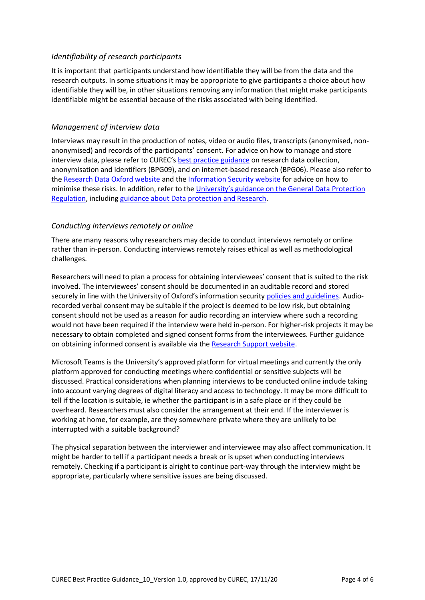#### *Identifiability of research participants*

It is important that participants understand how identifiable they will be from the data and the research outputs. In some situations it may be appropriate to give participants a choice about how identifiable they will be, in other situations removing any information that might make participants identifiable might be essential because of the risks associated with being identified.

#### *Management of interview data*

Interviews may result in the production of notes, video or audio files, transcripts (anonymised, nonanonymised) and records of the participants' consent. For advice on how to manage and store interview data, please refer to CUREC's [best practice guidance](https://researchsupport.admin.ox.ac.uk/governance/ethics/resources/bpg) on research data collection, anonymisation and identifiers (BPG09), and on internet-based research (BPG06). Please also refer to the [Research Data Oxford website](http://researchdata.ox.ac.uk/) and the [Information Security website](http://www.infosec.ox.ac.uk/) for advice on how to minimise these risks. In addition, refer to the University's [guidance on the General Data Protection](https://compliance.admin.ox.ac.uk/gdpr-and-the-university)  [Regulation,](https://compliance.admin.ox.ac.uk/gdpr-and-the-university) includin[g guidance about Data protection and Research.](https://researchsupport.admin.ox.ac.uk/policy/data)

#### *Conducting interviews remotely or online*

There are many reasons why researchers may decide to conduct interviews remotely or online rather than in-person. Conducting interviews remotely raises ethical as well as methodological challenges.

Researchers will need to plan a process for obtaining interviewees' consent that is suited to the risk involved. The interviewees' consent should be documented in an auditable record and stored securely in line with the University of Oxford's information security [policies and guidelines.](https://researchsupport.admin.ox.ac.uk/policy/data) Audiorecorded verbal consent may be suitable if the project is deemed to be low risk, but obtaining consent should not be used as a reason for audio recording an interview where such a recording would not have been required if the interview were held in-person. For higher-risk projects it may be necessary to obtain completed and signed consent forms from the interviewees. Further guidance on obtaining informed consent is available via th[e Research Support website.](https://researchsupport.admin.ox.ac.uk/governance/ethics/resources/consent)

Microsoft Teams is the University's approved platform for virtual meetings and currently the only platform approved for conducting meetings where confidential or sensitive subjects will be discussed. Practical considerations when planning interviews to be conducted online include taking into account varying degrees of digital literacy and access to technology. It may be more difficult to tell if the location is suitable, ie whether the participant is in a safe place or if they could be overheard. Researchers must also consider the arrangement at their end. If the interviewer is working at home, for example, are they somewhere private where they are unlikely to be interrupted with a suitable background?

The physical separation between the interviewer and interviewee may also affect communication. It might be harder to tell if a participant needs a break or is upset when conducting interviews remotely. Checking if a participant is alright to continue part-way through the interview might be appropriate, particularly where sensitive issues are being discussed.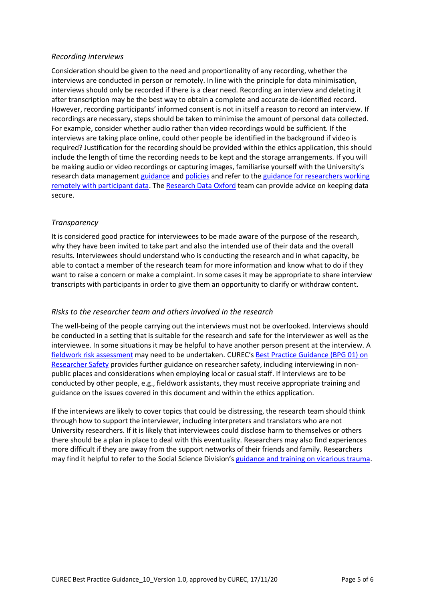#### *Recording interviews*

Consideration should be given to the need and proportionality of any recording, whether the interviews are conducted in person or remotely. In line with the principle for data minimisation, interviews should only be recorded if there is a clear need. Recording an interview and deleting it after transcription may be the best way to obtain a complete and accurate de-identified record. However, recording participants' informed consent is not in itself a reason to record an interview. If recordings are necessary, steps should be taken to minimise the amount of personal data collected. For example, consider whether audio rather than video recordings would be sufficient. If the interviews are taking place online, could other people be identified in the background if video is required? Justification for the recording should be provided within the ethics application, this should include the length of time the recording needs to be kept and the storage arrangements. If you will be making audio or video recordings or capturing images, familiarise yourself with the University's research data managemen[t guidance](https://researchsupport.admin.ox.ac.uk/files/bpg09datacollectionandmanagementpdf) and [policies](https://researchsupport.admin.ox.ac.uk/policy/data) and refer to the [guidance for researchers working](https://researchsupport.admin.ox.ac.uk/covid-19/data)  [remotely with participant data.](https://researchsupport.admin.ox.ac.uk/covid-19/data) The [Research Data Oxford](https://researchdata.ox.ac.uk/) team can provide advice on keeping data secure.

#### *Transparency*

It is considered good practice for interviewees to be made aware of the purpose of the research, why they have been invited to take part and also the intended use of their data and the overall results. Interviewees should understand who is conducting the research and in what capacity, be able to contact a member of the research team for more information and know what to do if they want to raise a concern or make a complaint. In some cases it may be appropriate to share interview transcripts with participants in order to give them an opportunity to clarify or withdraw content.

#### *Risks to the researcher team and others involved in the research*

The well-being of the people carrying out the interviews must not be overlooked. Interviews should be conducted in a setting that is suitable for the research and safe for the interviewer as well as the interviewee. In some situations it may be helpful to have another person present at the interview. A [fieldwork risk assessment](https://safety.admin.ox.ac.uk/travel-and-fieldwork) may need to be undertaken. CUREC's [Best Practice Guidance \(BPG 01\) on](https://researchsupport.admin.ox.ac.uk/governance/ethics/resources/bpg)  [Researcher Safety](https://researchsupport.admin.ox.ac.uk/governance/ethics/resources/bpg) provides further guidance on researcher safety, including interviewing in nonpublic places and considerations when employing local or casual staff. If interviews are to be conducted by other people, e.g., fieldwork assistants, they must receive appropriate training and guidance on the issues covered in this document and within the ethics application.

If the interviews are likely to cover topics that could be distressing, the research team should think through how to support the interviewer, including interpreters and translators who are not University researchers. If it is likely that interviewees could disclose harm to themselves or others there should be a plan in place to deal with this eventuality. Researchers may also find experiences more difficult if they are away from the support networks of their friends and family. Researchers may find it helpful to refer to the Social Science Division's [guidance and training on vicarious trauma.](https://www.socsci.ox.ac.uk/vicarious-trauma)